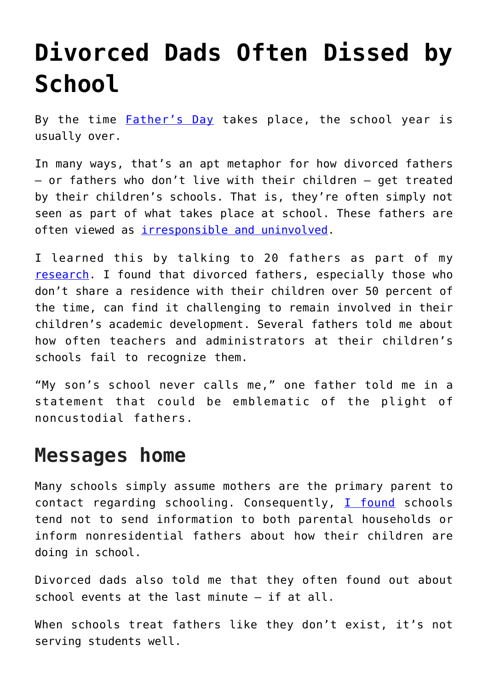## **[Divorced Dads Often Dissed by](https://intellectualtakeout.org/2019/06/divorced-dads-often-dissed-by-school/) [School](https://intellectualtakeout.org/2019/06/divorced-dads-often-dissed-by-school/)**

By the time **[Father's Day](https://sk.sagepub.com/reference/the-social-history-of-the-american-family/n224.xml)** takes place, the school year is usually over.

In many ways, that's an apt metaphor for how divorced fathers – or fathers who don't live with their children – get treated by their children's schools. That is, they're often simply not seen as part of what takes place at school. These fathers are often viewed as [irresponsible and uninvolved](https://onlinelibrary.wiley.com/doi/abs/10.1111/j.1741-3737.2007.00473.x).

I learned this by talking to 20 fathers as part of my [research.](https://web.b.ebscohost.com/abstract?direct=true&profile=ehost&scope=site&authtype=crawler&jrnl=15376680&asa=Y&AN=89631191&h=XNqGzELEI5In4k9VNhpzA6qIfNgkxTat%2fdZSDHxXyA8Hgjk0pUtm9eVZF6suKsQ%2bCTomSG1DPeOJNQ0M0YgtdQ%3d%3d&crl=c&resultNs=AdminWebAuth&resultLocal=ErrCrlNotAuth&crlhashurl=login.aspx%3fdirect%3dtrue%26profile%3dehost%26scope%3dsite%26authtype%3dcrawler%26jrnl%3d15376680%26asa%3dY%26AN%3d89631191) I found that divorced fathers, especially those who don't share a residence with their children over 50 percent of the time, can find it challenging to remain involved in their children's academic development. Several fathers told me about how often teachers and administrators at their children's schools fail to recognize them.

"My son's school never calls me," one father told me in a statement that could be emblematic of the plight of noncustodial fathers.

## **Messages home**

Many schools simply assume mothers are the primary parent to contact regarding schooling. Consequently,  $I$  found schools tend not to send information to both parental households or inform nonresidential fathers about how their children are doing in school.

Divorced dads also told me that they often found out about school events at the last minute – if at all.

When schools treat fathers like they don't exist, it's not serving students well.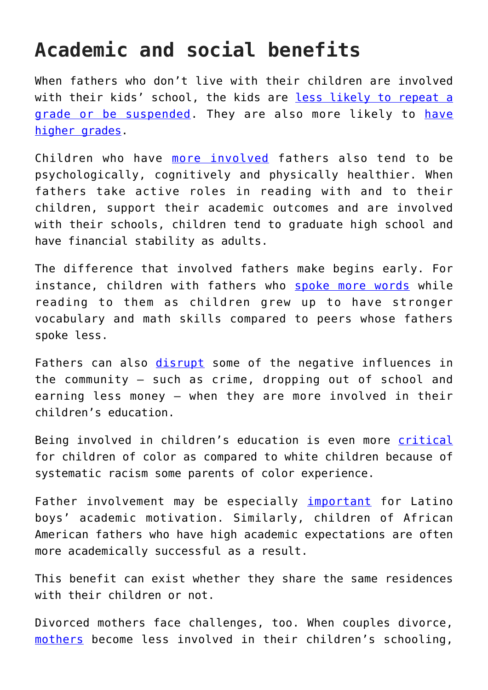## **Academic and social benefits**

When fathers who don't live with their children are involved with their kids' school, the kids are [less likely to repeat a](https://files.eric.ed.gov/fulltext/ED452982.pdf) [grade or be suspended](https://files.eric.ed.gov/fulltext/ED452982.pdf). They are also more likely to [have](https://psycnet.apa.org/record/2015-23320-001) [higher grades](https://psycnet.apa.org/record/2015-23320-001).

Children who have [more involved](http://thripp.com/files/ucf/edp6213/class-10-20151102-ONLINE/castro-et-al-2015.pdf) fathers also tend to be psychologically, cognitively and physically healthier. When fathers take active roles in reading with and to their children, support their academic outcomes and are involved with their schools, children tend to graduate high school and have financial stability as adults.

The difference that involved fathers make begins early. For instance, children with fathers who [spoke more words](https://flp.fpg.unc.edu/about-flp) while reading to them as children grew up to have stronger vocabulary and math skills compared to peers whose fathers spoke less.

Fathers can also *[disrupt](https://www.taylorfrancis.com/books/e/9781410603500/chapters/10.4324/9781410603500-14)* some of the negative influences in the community – such as crime, dropping out of school and earning less money – when they are more involved in their children's education.

Being involved in children's education is even more [critical](https://journals.sagepub.com/doi/pdf/10.1177/0042085914525789) for children of color as compared to white children because of systematic racism some parents of color experience.

Father involvement may be especially [important](https://onlinelibrary.wiley.com/doi/abs/10.1111/j.1741-3729.2006.00402.x) for Latino boys' academic motivation. Similarly, children of African American fathers who have high academic expectations are often more academically successful as a result.

This benefit can exist whether they share the same residences with their children or not.

Divorced mothers face challenges, too. When couples divorce, [mothers](https://steinhardt.nyu.edu/scmsAdmin/media/users/lec321/Sirin_Articles/Sirin_2005.pdf) become less involved in their children's schooling,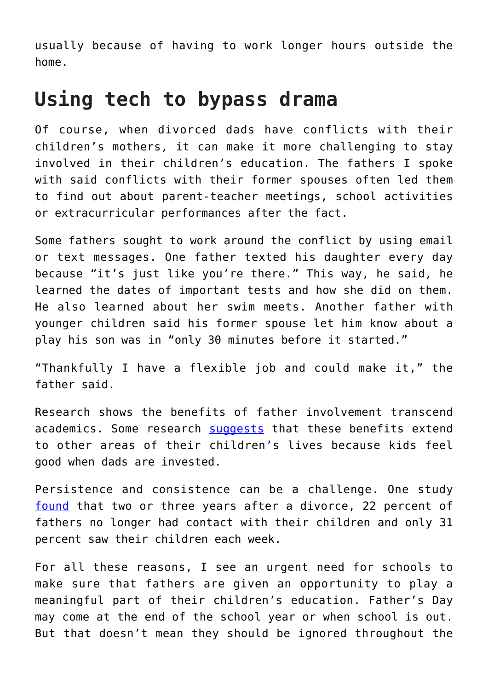usually because of having to work longer hours outside the home.

## **Using tech to bypass drama**

Of course, when divorced dads have conflicts with their children's mothers, it can make it more challenging to stay involved in their children's education. The fathers I spoke with said conflicts with their former spouses often led them to find out about parent-teacher meetings, school activities or extracurricular performances after the fact.

Some fathers sought to work around the conflict by using email or text messages. One father texted his daughter every day because "it's just like you're there." This way, he said, he learned the dates of important tests and how she did on them. He also learned about her swim meets. Another father with younger children said his former spouse let him know about a play his son was in "only 30 minutes before it started."

"Thankfully I have a flexible job and could make it," the father said.

Research shows the benefits of father involvement transcend academics. Some research [suggests](https://journals.sagepub.com/doi/abs/10.1177/0192513X17741921) that these benefits extend to other areas of their children's lives because kids feel good when dads are invested.

Persistence and consistence can be a challenge. One study [found](https://psycnet.apa.org/record/2009-01356-004) that two or three years after a divorce, 22 percent of fathers no longer had contact with their children and only 31 percent saw their children each week.

For all these reasons, I see an urgent need for schools to make sure that fathers are given an opportunity to play a meaningful part of their children's education. Father's Day may come at the end of the school year or when school is out. But that doesn't mean they should be ignored throughout the